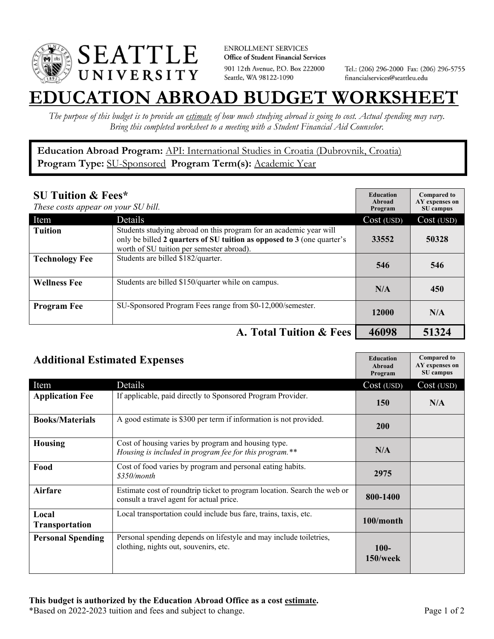

**ENROLLMENT SERVICES** Office of Student Financial Services 901 12th Avenue, P.O. Box 222000 Seattle, WA 98122-1090

Tel.: (206) 296-2000 Fax: (206) 296-5755 financialservices@seattleu.edu

## **EATION ABROAD BUDGET WORKSHEE**

*The purpose of this budget is to provide an estimate of how much studying abroad is going to cost. Actual spending may vary. Bring this completed worksheet to a meeting with a Student Financial Aid Counselor.* 

**Education Abroad Program:** API: International Studies in Croatia (Dubrovnik, Croatia) Program Type: **SU-Sponsored** Program Term(s): **Academic Year** 

| <b>SU Tuition &amp; Fees*</b><br>These costs appear on your SU bill. |                                                                                                                                                                                           | <b>Education</b><br>Abroad<br>Program | <b>Compared to</b><br>AY expenses on<br>SU campus |
|----------------------------------------------------------------------|-------------------------------------------------------------------------------------------------------------------------------------------------------------------------------------------|---------------------------------------|---------------------------------------------------|
| Item                                                                 | <b>Details</b>                                                                                                                                                                            | Cost (USD)                            | Cost (USD)                                        |
| <b>Tuition</b>                                                       | Students studying abroad on this program for an academic year will<br>only be billed 2 quarters of SU tuition as opposed to 3 (one quarter's<br>worth of SU tuition per semester abroad). | 33552                                 | 50328                                             |
| <b>Technology Fee</b>                                                | Students are billed \$182/quarter.                                                                                                                                                        | 546                                   | 546                                               |
| <b>Wellness Fee</b>                                                  | Students are billed \$150/quarter while on campus.                                                                                                                                        | N/A                                   | 450                                               |
| <b>Program Fee</b>                                                   | SU-Sponsored Program Fees range from \$0-12,000/semester.                                                                                                                                 | 12000                                 | N/A                                               |
|                                                                      | A. Total Tuition & Fees                                                                                                                                                                   | 46098                                 | 51324                                             |

| <b>Additional Estimated Expenses</b> |                                                                                                                      | <b>Education</b><br>Abroad<br>Program | <b>Compared to</b><br>AY expenses on<br>SU campus |
|--------------------------------------|----------------------------------------------------------------------------------------------------------------------|---------------------------------------|---------------------------------------------------|
| Item                                 | Details                                                                                                              | Cost (USD)                            | Cost (USD)                                        |
| <b>Application Fee</b>               | If applicable, paid directly to Sponsored Program Provider.                                                          | <b>150</b>                            | N/A                                               |
| <b>Books/Materials</b>               | A good estimate is \$300 per term if information is not provided.                                                    | 200                                   |                                                   |
| <b>Housing</b>                       | Cost of housing varies by program and housing type.<br>Housing is included in program fee for this program.**        | N/A                                   |                                                   |
| Food                                 | Cost of food varies by program and personal eating habits.<br>\$350/month                                            | 2975                                  |                                                   |
| <b>Airfare</b>                       | Estimate cost of roundtrip ticket to program location. Search the web or<br>consult a travel agent for actual price. | 800-1400                              |                                                   |
| Local<br>Transportation              | Local transportation could include bus fare, trains, taxis, etc.                                                     | 100/month                             |                                                   |
| <b>Personal Spending</b>             | Personal spending depends on lifestyle and may include toiletries,<br>clothing, nights out, souvenirs, etc.          | $100 -$<br>$150$ /week                |                                                   |

\*Based on 2022-2023 tuition and fees and subject to change. Page 1 of 2